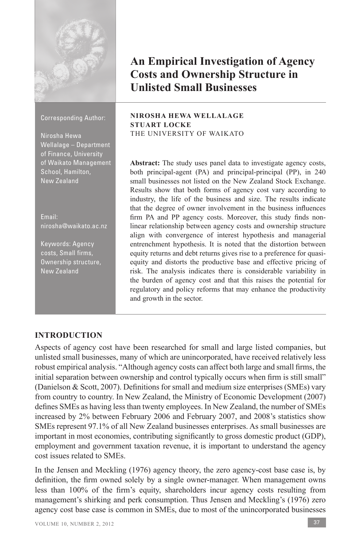

# **An Empirical Investigation of Agency Costs and Ownership Structure in Unlisted Small Businesses**

#### Corresponding Author:

Nirosha Hewa Wellalage – Department of Finance, University of Waikato Management School, Hamilton, New Zealand

Email: nirosha@waikato.ac.nz

Keywords: Agency costs, Small firms, Ownership structure, New Zealand

#### **NIROSHA HEWA WELLALAGE STUART LOCKE** THE UNIVERSITY OF WAIKATO

**Abstract:** The study uses panel data to investigate agency costs, both principal-agent (PA) and principal-principal (PP), in 240 small businesses not listed on the New Zealand Stock Exchange. Results show that both forms of agency cost vary according to industry, the life of the business and size. The results indicate that the degree of owner involvement in the business influences firm PA and PP agency costs. Moreover, this study finds nonlinear relationship between agency costs and ownership structure align with convergence of interest hypothesis and managerial entrenchment hypothesis. It is noted that the distortion between equity returns and debt returns gives rise to a preference for quasiequity and distorts the productive base and effective pricing of risk. The analysis indicates there is considerable variability in the burden of agency cost and that this raises the potential for regulatory and policy reforms that may enhance the productivity and growth in the sector.

## **INTRODUCTION**

Aspects of agency cost have been researched for small and large listed companies, but unlisted small businesses, many of which are unincorporated, have received relatively less robust empirical analysis. "Although agency costs can affect both large and small firms, the initial separation between ownership and control typically occurs when firm is still small" (Danielson & Scott, 2007). Definitions for small and medium size enterprises (SMEs) vary from country to country. In New Zealand, the Ministry of Economic Development (2007) defines SMEs as having less than twenty employees. In New Zealand, the number of SMEs increased by 2% between February 2006 and February 2007, and 2008's statistics show SMEs represent 97.1% of all New Zealand businesses enterprises. As small businesses are important in most economies, contributing significantly to gross domestic product (GDP), employment and government taxation revenue, it is important to understand the agency cost issues related to SMEs.

In the Jensen and Meckling (1976) agency theory, the zero agency-cost base case is, by definition, the firm owned solely by a single owner-manager. When management owns less than 100% of the firm's equity, shareholders incur agency costs resulting from management's shirking and perk consumption. Thus Jensen and Meckling's (1976) zero agency cost base case is common in SMEs, due to most of the unincorporated businesses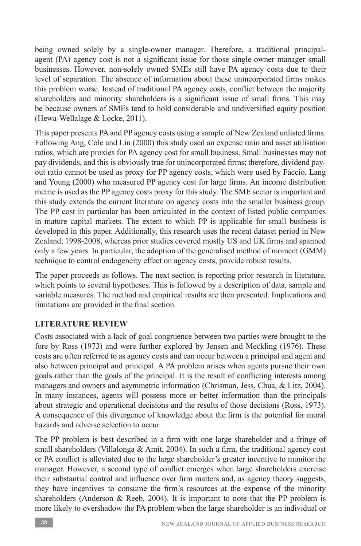being owned solely by a single-owner manager. Therefore, a traditional principalagent (PA) agency cost is not a significant issue for those single-owner manager small businesses. However, non-solely owned SMEs still have PA agency costs due to their level of separation. The absence of information about these unincorporated firms makes this problem worse. Instead of traditional PA agency costs, conflict between the majority shareholders and minority shareholders is a significant issue of small firms. This may be because owners of SMEs tend to hold considerable and undiversified equity position (Hewa-Wellalage & Locke, 2011).

This paper presents PA and PP agency costs using a sample of New Zealand unlisted firms. Following Ang, Cole and Lin (2000) this study used an expense ratio and asset utilisation ratios, which are proxies for PA agency cost for small business. Small businesses may not pay dividends, and this is obviously true for unincorporated firms; therefore, dividend payout ratio cannot be used as proxy for PP agency costs, which were used by Faccio, Lang and Young (2000) who measured PP agency cost for large firms. An income distribution metric is used as the PP agency costs proxy for this study. The SME sector is important and this study extends the current literature on agency costs into the smaller business group. The PP cost in particular has been articulated in the context of listed public companies in mature capital markets. The extent to which PP is applicable for small business is developed in this paper. Additionally, this research uses the recent dataset period in New Zealand, 1998-2008, whereas prior studies covered mostly US and UK firms and spanned only a few years. In particular, the adoption of the generalised method of moment (GMM) technique to control endogeneity effect on agency costs, provide robust results.

The paper proceeds as follows. The next section is reporting prior research in literature, which points to several hypotheses. This is followed by a description of data, sample and variable measures. The method and empirical results are then presented. Implications and limitations are provided in the final section.

## **LITERATURE REVIEW**

Costs associated with a lack of goal congruence between two parties were brought to the fore by Ross (1973) and were further explored by Jensen and Meckling (1976). These costs are often referred to as agency costs and can occur between a principal and agent and also between principal and principal. A PA problem arises when agents pursue their own goals rather than the goals of the principal. It is the result of conflicting interests among managers and owners and asymmetric information (Chrisman, Jess, Chua, & Litz, 2004). In many instances, agents will possess more or better information than the principals about strategic and operational decisions and the results of those decisions (Ross, 1973). A consequence of this divergence of knowledge about the firm is the potential for moral hazards and adverse selection to occur.

The PP problem is best described in a firm with one large shareholder and a fringe of small shareholders (Villalonga  $& Amit, 2004$ ). In such a firm, the traditional agency cost or PA conflict is alleviated due to the large shareholder's greater incentive to monitor the manager. However, a second type of conflict emerges when large shareholders exercise their substantial control and influence over firm matters and, as agency theory suggests, they have incentives to consume the firm's resources at the expense of the minority shareholders (Anderson  $\&$  Reeb, 2004). It is important to note that the PP problem is more likely to overshadow the PA problem when the large shareholder is an individual or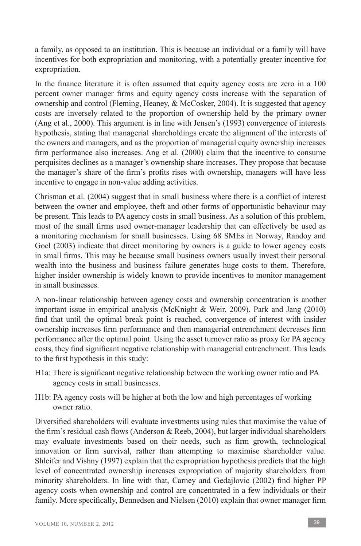a family, as opposed to an institution. This is because an individual or a family will have incentives for both expropriation and monitoring, with a potentially greater incentive for expropriation.

In the finance literature it is often assumed that equity agency costs are zero in a 100 percent owner manager firms and equity agency costs increase with the separation of ownership and control (Fleming, Heaney, & McCosker, 2004). It is suggested that agency costs are inversely related to the proportion of ownership held by the primary owner (Ang et al., 2000). This argument is in line with Jensen's (1993) convergence of interests hypothesis, stating that managerial shareholdings create the alignment of the interests of the owners and managers, and as the proportion of managerial equity ownership increases firm performance also increases. Ang et al. (2000) claim that the incentive to consume perquisites declines as a manager's ownership share increases. They propose that because the manager's share of the firm's profits rises with ownership, managers will have less incentive to engage in non-value adding activities.

Chrisman et al. (2004) suggest that in small business where there is a conflict of interest between the owner and employee, theft and other forms of opportunistic behaviour may be present. This leads to PA agency costs in small business. As a solution of this problem, most of the small firms used owner-manager leadership that can effectively be used as a monitoring mechanism for small businesses. Using 68 SMEs in Norway, Randoy and Goel (2003) indicate that direct monitoring by owners is a guide to lower agency costs in small firms. This may be because small business owners usually invest their personal wealth into the business and business failure generates huge costs to them. Therefore, higher insider ownership is widely known to provide incentives to monitor management in small businesses.

A non-linear relationship between agency costs and ownership concentration is another important issue in empirical analysis (McKnight & Weir, 2009). Park and Jang (2010) find that until the optimal break point is reached, convergence of interest with insider ownership increases firm performance and then managerial entrenchment decreases firm performance after the optimal point. Using the asset turnover ratio as proxy for PA agency costs, they find significant negative relationship with managerial entrenchment. This leads to the first hypothesis in this study:

- H1a: There is significant negative relationship between the working owner ratio and PA agency costs in small businesses.
- H1b: PA agency costs will be higher at both the low and high percentages of working owner ratio.

Diversified shareholders will evaluate investments using rules that maximise the value of the firm's residual cash flows (Anderson & Reeb, 2004), but larger individual shareholders may evaluate investments based on their needs, such as firm growth, technological innovation or firm survival, rather than attempting to maximise shareholder value. Shleifer and Vishny (1997) explain that the expropriation hypothesis predicts that the high level of concentrated ownership increases expropriation of majority shareholders from minority shareholders. In line with that, Carney and Gedajlovic (2002) find higher PP agency costs when ownership and control are concentrated in a few individuals or their family. More specifically, Bennedsen and Nielsen (2010) explain that owner manager firm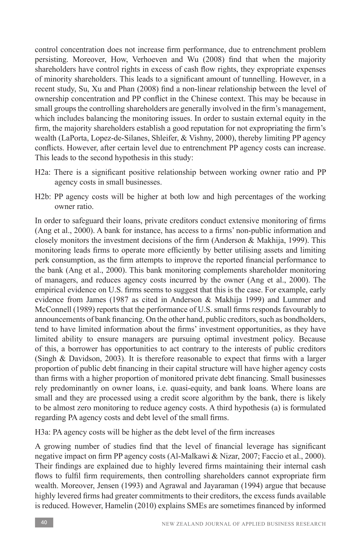control concentration does not increase firm performance, due to entrenchment problem persisting. Moreover, How, Verhoeven and Wu (2008) find that when the majority shareholders have control rights in excess of cash flow rights, they expropriate expenses of minority shareholders. This leads to a significant amount of tunnelling. However, in a recent study, Su, Xu and Phan (2008) find a non-linear relationship between the level of ownership concentration and PP conflict in the Chinese context. This may be because in small groups the controlling shareholders are generally involved in the firm's management, which includes balancing the monitoring issues. In order to sustain external equity in the firm, the majority shareholders establish a good reputation for not expropriating the firm's wealth (LaPorta, Lopez-de-Silanes, Shleifer, & Vishny, 2000), thereby limiting PP agency conflicts. However, after certain level due to entrenchment PP agency costs can increase. This leads to the second hypothesis in this study:

- H2a: There is a significant positive relationship between working owner ratio and PP agency costs in small businesses.
- H2b: PP agency costs will be higher at both low and high percentages of the working owner ratio.

In order to safeguard their loans, private creditors conduct extensive monitoring of firms (Ang et al., 2000). A bank for instance, has access to a firms' non-public information and closely monitors the investment decisions of the firm (Anderson & Makhija, 1999). This monitoring leads firms to operate more efficiently by better utilising assets and limiting perk consumption, as the firm attempts to improve the reported financial performance to the bank (Ang et al., 2000). This bank monitoring complements shareholder monitoring of managers, and reduces agency costs incurred by the owner (Ang et al., 2000). The empirical evidence on U.S. firms seems to suggest that this is the case. For example, early evidence from James (1987 as cited in Anderson & Makhija 1999) and Lummer and McConnell (1989) reports that the performance of U.S. small firms responds favourably to announcements of bank financing. On the other hand, public creditors, such as bondholders, tend to have limited information about the firms' investment opportunities, as they have limited ability to ensure managers are pursuing optimal investment policy. Because of this, a borrower has opportunities to act contrary to the interests of public creditors (Singh & Davidson, 2003). It is therefore reasonable to expect that firms with a larger proportion of public debt financing in their capital structure will have higher agency costs than firms with a higher proportion of monitored private debt financing. Small businesses rely predominantly on owner loans, i.e. quasi-equity, and bank loans. Where loans are small and they are processed using a credit score algorithm by the bank, there is likely to be almost zero monitoring to reduce agency costs. A third hypothesis (a) is formulated regarding PA agency costs and debt level of the small firms.

H3a: PA agency costs will be higher as the debt level of the firm increases

A growing number of studies find that the level of financial leverage has significant negative impact on firm PP agency costs (Al-Malkawi & Nizar, 2007; Faccio et al., 2000). Their findings are explained due to highly levered firms maintaining their internal cash flows to fulfil firm requirements, then controlling shareholders cannot expropriate firm wealth. Moreover, Jensen (1993) and Agrawal and Jayaraman (1994) argue that because highly levered firms had greater commitments to their creditors, the excess funds available is reduced. However, Hamelin (2010) explains SMEs are sometimes financed by informed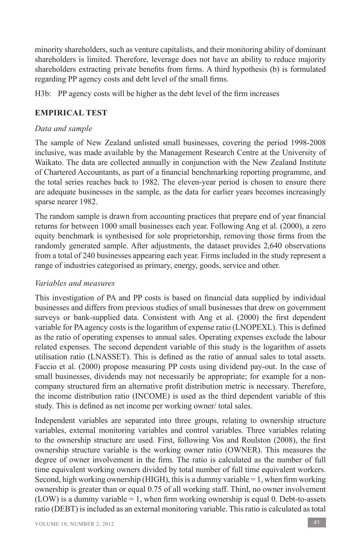minority shareholders, such as venture capitalists, and their monitoring ability of dominant shareholders is limited. Therefore, leverage does not have an ability to reduce majority shareholders extracting private benefits from firms. A third hypothesis (b) is formulated regarding PP agency costs and debt level of the small firms.

H3b: PP agency costs will be higher as the debt level of the firm increases

## **EMPIRICAL TEST**

## *Data and sample*

The sample of New Zealand unlisted small businesses, covering the period 1998-2008 inclusive, was made available by the Management Research Centre at the University of Waikato. The data are collected annually in conjunction with the New Zealand Institute of Chartered Accountants, as part of a financial benchmarking reporting programme, and the total series reaches back to 1982. The eleven-year period is chosen to ensure there are adequate businesses in the sample, as the data for earlier years becomes increasingly sparse nearer 1982.

The random sample is drawn from accounting practices that prepare end of year financial returns for between 1000 small businesses each year. Following Ang et al. (2000), a zero equity benchmark is synthesised for sole proprietorship, removing those firms from the randomly generated sample. After adjustments, the dataset provides 2,640 observations from a total of 240 businesses appearing each year. Firms included in the study represent a range of industries categorised as primary, energy, goods, service and other.

## *Variables and measures*

This investigation of PA and PP costs is based on financial data supplied by individual businesses and differs from previous studies of small businesses that drew on government surveys or bank-supplied data. Consistent with Ang et al. (2000) the first dependent variable for PA agency costs is the logarithm of expense ratio (LNOPEXL). This is defined as the ratio of operating expenses to annual sales. Operating expenses exclude the labour related expenses. The second dependent variable of this study is the logarithm of assets utilisation ratio (LNASSET). This is defined as the ratio of annual sales to total assets. Faccio et al. (2000) propose measuring PP costs using dividend pay-out. In the case of small businesses, dividends may not necessarily be appropriate; for example for a noncompany structured firm an alternative profit distribution metric is necessary. Therefore, the income distribution ratio (INCOME) is used as the third dependent variable of this study. This is defined as net income per working owner/ total sales.

Independent variables are separated into three groups, relating to ownership structure variables, external monitoring variables and control variables. Three variables relating to the ownership structure are used. First, following Vos and Roulston (2008), the first ownership structure variable is the working owner ratio (OWNER). This measures the degree of owner involvement in the firm. The ratio is calculated as the number of full time equivalent working owners divided by total number of full time equivalent workers. Second, high working ownership (HIGH), this is a dummy variable  $= 1$ , when firm working ownership is greater than or equal 0.75 of all working staff. Third, no owner involvement  $(LOW)$  is a dummy variable = 1, when firm working ownership is equal 0. Debt-to-assets ratio (DEBT) is included as an external monitoring variable. This ratio is calculated as total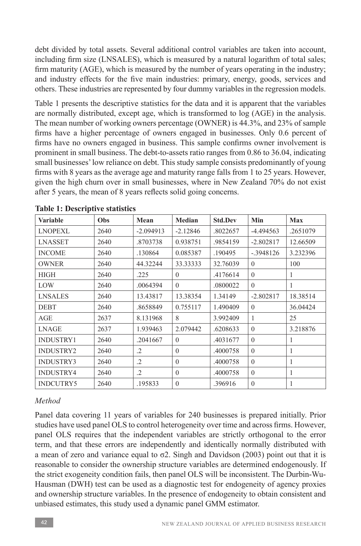debt divided by total assets. Several additional control variables are taken into account, including firm size (LNSALES), which is measured by a natural logarithm of total sales; firm maturity (AGE), which is measured by the number of years operating in the industry; and industry effects for the five main industries: primary, energy, goods, services and others. These industries are represented by four dummy variables in the regression models.

Table 1 presents the descriptive statistics for the data and it is apparent that the variables are normally distributed, except age, which is transformed to log (AGE) in the analysis. The mean number of working owners percentage (OWNER) is 44.3%, and 23% of sample firms have a higher percentage of owners engaged in businesses. Only 0.6 percent of firms have no owners engaged in business. This sample confirms owner involvement is prominent in small business. The debt-to-assets ratio ranges from 0.86 to 36.04, indicating small businesses' low reliance on debt. This study sample consists predominantly of young firms with 8 years as the average age and maturity range falls from 1 to 25 years. However, given the high churn over in small businesses, where in New Zealand 70% do not exist after 5 years, the mean of 8 years reflects solid going concerns.

| Variable         | Obs  | Mean        | Median     | <b>Std.Dev</b> | Min            | <b>Max</b>   |
|------------------|------|-------------|------------|----------------|----------------|--------------|
| <b>LNOPEXL</b>   | 2640 | $-2.094913$ | $-2.12846$ | .8022657       | $-4.494563$    | .2651079     |
| <b>LNASSET</b>   | 2640 | .8703738    | 0.938751   | .9854159       | $-2.802817$    | 12.66509     |
| <b>INCOME</b>    | 2640 | .130864     | 0.085387   | .190495        | $-.3948126$    | 3.232396     |
| <b>OWNER</b>     | 2640 | 44.32244    | 33.33333   | 32.76039       | $\mathbf{0}$   | 100          |
| <b>HIGH</b>      | 2640 | .225        | $\theta$   | .4176614       | $\theta$       | $\mathbf{1}$ |
| LOW              | 2640 | .0064394    | $\theta$   | .0800022       | $\theta$       | 1            |
| <b>LNSALES</b>   | 2640 | 13.43817    | 13.38354   | 1.34149        | $-2.802817$    | 18.38514     |
| <b>DEBT</b>      | 2640 | .8658849    | 0.755117   | 1.490409       | $\theta$       | 36.04424     |
| AGE              | 2637 | 8.131968    | 8          | 3.992409       | 1              | 25           |
| LNAGE            | 2637 | 1.939463    | 2.079442   | .6208633       | $\overline{0}$ | 3.218876     |
| <b>INDUSTRY1</b> | 2640 | .2041667    | $\theta$   | .4031677       | $\theta$       | $\mathbf{1}$ |
| <b>INDUSTRY2</b> | 2640 | $\cdot$     | $\Omega$   | .4000758       | $\mathbf{0}$   | 1            |
| <b>INDUSTRY3</b> | 2640 | $\cdot$     | $\theta$   | .4000758       | $\theta$       | 1            |
| INDUSTRY4        | 2640 | $\cdot$     | $\theta$   | .4000758       | $\theta$       | 1            |
| <b>INDCUTRY5</b> | 2640 | .195833     | $\theta$   | .396916        | $\theta$       |              |

**Table 1: Descriptive statistics**

## *Method*

Panel data covering 11 years of variables for 240 businesses is prepared initially. Prior studies have used panel OLS to control heterogeneity over time and across firms. However, panel OLS requires that the independent variables are strictly orthogonal to the error term, and that these errors are independently and identically normally distributed with a mean of zero and variance equal to  $\sigma$ 2. Singh and Davidson (2003) point out that it is reasonable to consider the ownership structure variables are determined endogenously. If the strict exogeneity condition fails, then panel OLS will be inconsistent. The Durbin-Wu-Hausman (DWH) test can be used as a diagnostic test for endogeneity of agency proxies and ownership structure variables. In the presence of endogeneity to obtain consistent and unbiased estimates, this study used a dynamic panel GMM estimator.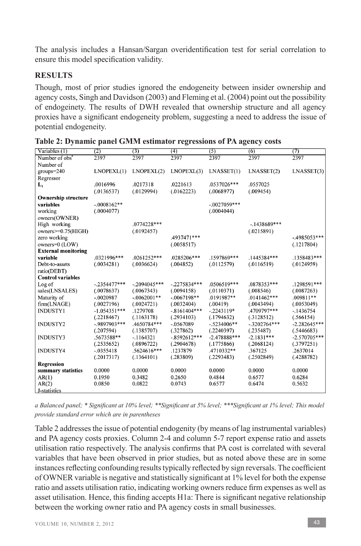The analysis includes a Hansan/Sargan overidentification test for serial correlation to ensure this model specification validity.

## **RESULTS**

Though, most of prior studies ignored the endogeneity between insider ownership and agency costs, Singh and Davidson (2003) and Fleming et al. (2004) point out the possibility of endogeinety. The results of DWH revealed that ownership structure and all agency proxies have a significant endogeneity problem, suggesting a need to address the issue of potential endogeneity.

| Variables (1)              | (2)             | (3)            | (4)            | (5)            | (6)            | (7)            |
|----------------------------|-----------------|----------------|----------------|----------------|----------------|----------------|
| Number of obs <sup>a</sup> | 2397            | 2397           | 2397           | 2397           | 2397           | 2397           |
| Number of                  |                 |                |                |                |                |                |
| $groups = 240$             | LNOPEXL(1)      | LNOPEXL(2)     | LNOPEXL(3)     | LNASSET(1)     | LNASSET(2)     | LNASSET(3)     |
| Regressor                  |                 |                |                |                |                |                |
| $L_1$                      | .0016996        | .0217318       | .0221613       | .0537026***    | .0557025       |                |
|                            | (.0136537)      | (.0129994)     | (.0162223)     | (.0068977)     | (.009454)      |                |
| <b>Ownership structure</b> |                 |                |                |                |                |                |
| variables                  | $-.0008162**$   |                |                | $-.0027059***$ |                |                |
| working                    | (.0004077)      |                |                | (.0004044)     |                |                |
| owners(OWNER)              |                 |                |                |                |                |                |
| High working               |                 | .0774228***    |                |                | $-.1438689***$ |                |
| owners>=0.75(HIGH)         |                 | (.0192457)     |                |                | (.0215891)     |                |
| zero working               |                 |                | .4937471***    |                |                | $-.4985053***$ |
| owners=0 (LOW)             |                 |                | (.0058517)     |                |                | (.1217804)     |
| <b>External monitoring</b> |                 |                |                |                |                |                |
| variable                   | .0321996***     | .0261252***    | .0285206***    | .1597869***    | .1445384***    | .1358483***    |
| Debt-to-assets             | (.0034281)      | (.0036624)     | (.004852)      | (.0112579)     | (.0116519)     | (.0124959)     |
| ratio(DEBT)                |                 |                |                |                |                |                |
| <b>Control variables</b>   |                 |                |                |                |                |                |
| Log of                     | $-.2354477***$  | $-.2094045***$ | $-.2275834***$ | .0506519***    | .0878353***    | .1298591***    |
| sales(LNSALES)             | (.0078637)      | (.0067343)     | (.0094158)     | (.0110371)     | (.008546)      | (.0087263)     |
| Maturity of                | $-.0020987$     | $-.0062001**$  | $-.0067198**$  | .0191987**     | .0141462***    | $.009811**$    |
| firm(LNAGE)                | (.0027196)      | (.0024721)     | (.0032404)     | (.00419)       | (.0043494)     | (.0053049)     |
| <b>INDUSTY1</b>            | $-1.054351***$  | .1279708       | $-.8161404***$ | $-.2243119*$   | .4709797***    | $-.1436754$    |
|                            | (.2218467)      | (.1163178)     | (.2934103)     | (.1794632)     | (.3128512)     | (.566154)      |
| <b>INDUSTY2</b>            | $-0.9897903***$ | .4650784***    | $-.0567089$    | $-.5234006**$  | $-.3202764***$ | $-2.282645***$ |
|                            | (.207594)       | (.1385707)     | (.327862)      | (.2240397)     | (.235487)      | (.5446683)     |
| <b>INDUSTY3</b>            | .5673588**      | $-1164321$     | $-.8592612***$ | $-2.478888***$ | $-2.1831***$   | $-2.570705***$ |
|                            | (.2535652)      | (.0896722)     | (.2904678)     | (.1775866)     | (.2068124)     | (.3797251)     |
| <b>INDUSTY4</b>            | $-.0355418$     | .5624616***    | .1237879       | .4710332**     | .367125        | .2637014       |
|                            | (.2017317)      | (.1364101)     | (.283809)      | (.2293483)     | (.2502849)     | (.4288782)     |
| <b>Regression</b>          |                 |                |                |                |                |                |
| summary statistics         | 0.0000          | 0.0000         | 0.0000         | 0.0000         | 0.0000         | 0.0000         |
| AR(1)                      | 0.1950          | 0.3482         | 0.2650         | 0.4844         | 0.6577         | 0.6284         |
| AR(2)                      | 0.0850          | 0.0822         | 0.0743         | 0.6577         | 0.6474         | 0.5632         |
| J-statistics               |                 |                |                |                |                |                |

| Table 2: Dynamic panel GMM estimator regressions of PA agency costs |  |  |  |
|---------------------------------------------------------------------|--|--|--|
|                                                                     |  |  |  |

*a Balanced panel; \* Significant at 10% level; \*\*Significant at 5% level; \*\*\*Significant at 1% level; This model provide standard error which are in parentheses*

Table 2 addresses the issue of potential endogenity (by means of lag instrumental variables) and PA agency costs proxies. Column 2-4 and column 5-7 report expense ratio and assets utilisation ratio respectively. The analysis confirms that PA cost is correlated with several variables that have been observed in prior studies, but as noted above these are in some instances reflecting confounding results typically reflected by sign reversals. The coefficient of OWNER variable is negative and statistically significant at 1% level for both the expense ratio and assets utilisation ratio, indicating working owners reduce firm expenses as well as asset utilisation. Hence, this finding accepts H1a: There is significant negative relationship between the working owner ratio and PA agency costs in small businesses.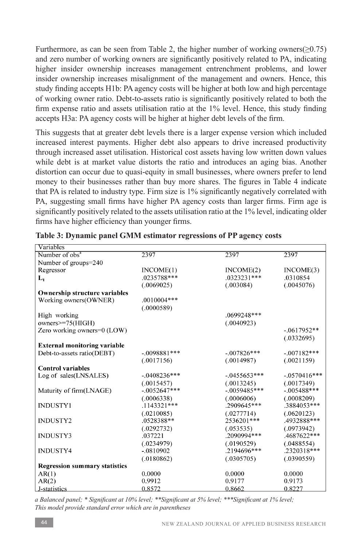Furthermore, as can be seen from Table 2, the higher number of working owners( $\geq$ 0.75) and zero number of working owners are significantly positively related to PA, indicating higher insider ownership increases management entrenchment problems, and lower insider ownership increases misalignment of the management and owners. Hence, this study finding accepts H1b: PA agency costs will be higher at both low and high percentage of working owner ratio. Debt-to-assets ratio is significantly positively related to both the firm expense ratio and assets utilisation ratio at the 1% level. Hence, this study finding accepts H3a: PA agency costs will be higher at higher debt levels of the firm.

This suggests that at greater debt levels there is a larger expense version which included increased interest payments. Higher debt also appears to drive increased productivity through increased asset utilisation. Historical cost assets having low written down values while debt is at market value distorts the ratio and introduces an aging bias. Another distortion can occur due to quasi-equity in small businesses, where owners prefer to lend money to their businesses rather than buy more shares. The figures in Table 4 indicate that PA is related to industry type. Firm size is 1% significantly negatively correlated with PA, suggesting small firms have higher PA agency costs than larger firms. Firm age is significantly positively related to the assets utilisation ratio at the 1% level, indicating older firms have higher efficiency than younger firms.

| Variables                            |                |                 |                |
|--------------------------------------|----------------|-----------------|----------------|
| Number of obs <sup>a</sup>           | 2397           | 2397            | 2397           |
| Number of groups=240                 |                |                 |                |
| Regressor                            | INCOME(1)      | INCOME(2)       | INCOME(3)      |
| $L_1$                                | .0235788***    | .0323231***     | .0310854       |
|                                      | (.0069025)     | (.003084)       | (.0045076)     |
| <b>Ownership structure variables</b> |                |                 |                |
| Working owners(OWNER)                | $.0010004***$  |                 |                |
|                                      | (.0000589)     |                 |                |
| High working                         |                | $.0699248***$   |                |
| owners>=75(HIGH)                     |                | (.0040923)      |                |
| Zero working owners=0 (LOW)          |                |                 | $-.0617952**$  |
|                                      |                |                 | (.0332695)     |
| <b>External monitoring variable</b>  |                |                 |                |
| Debt-to-assets ratio(DEBT)           | $-.0098881***$ | $-.007826***$   | $-.007182***$  |
|                                      | (.0017156)     | (.0014987)      | (.0021159)     |
| <b>Control variables</b>             |                |                 |                |
| Log of sales(LNSALES)                | $-0.408236***$ | $-0.0455653***$ | $-.0570416***$ |
|                                      | (.0015457)     | (.0013245)      | (.0017349)     |
| Maturity of firm(LNAGE)              | $-.0052647***$ | $-.0059485***$  | $-.005488***$  |
|                                      | (.0006338)     | (.0006006)      | (.0008209)     |
| <b>INDUSTY1</b>                      | $.1143321***$  | .2909645***     | .3884053***    |
|                                      | (.0210085)     | (.0277714)      | (.0620123)     |
| <b>INDUSTY2</b>                      | .0528388**     | 2536201***      | .4932888***    |
|                                      | (.0292732)     | (.053535)       | (.0973942)     |
| INDUSTY3                             | .037221        | .2090994***     | .4687622***    |
|                                      | (.0234979)     | (.0190529)      | (.0488554)     |
| <b>INDUSTY4</b>                      | $-.0810902$    | .2194696***     | .2320318***    |
|                                      | (.0180862)     | (.0305705)      | (.0390559)     |
| <b>Regression summary statistics</b> |                |                 |                |
| AR(1)                                | 0.0000         | 0.0000          | 0.0000         |
| AR(2)                                | 0.9912         | 0.9177          | 0.9173         |
| J-statistics                         | 0.8572         | 0.8662          | 0.8227         |

**Table 3: Dynamic panel GMM estimator regressions of PP agency costs**

*a Balanced panel; \* Significant at 10% level; \*\*Significant at 5% level; \*\*\*Significant at 1% level; This model provide standard error which are in parentheses*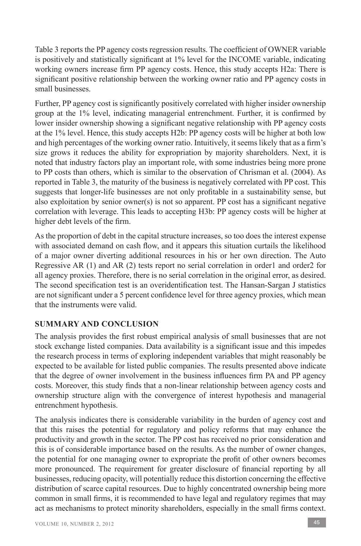Table 3 reports the PP agency costs regression results. The coefficient of OWNER variable is positively and statistically significant at 1% level for the INCOME variable, indicating working owners increase firm PP agency costs. Hence, this study accepts H2a: There is significant positive relationship between the working owner ratio and PP agency costs in small businesses.

Further, PP agency cost is significantly positively correlated with higher insider ownership group at the 1% level, indicating managerial entrenchment. Further, it is confirmed by lower insider ownership showing a significant negative relationship with PP agency costs at the 1% level. Hence, this study accepts H2b: PP agency costs will be higher at both low and high percentages of the working owner ratio. Intuitively, it seems likely that as a firm's size grows it reduces the ability for expropriation by majority shareholders. Next, it is noted that industry factors play an important role, with some industries being more prone to PP costs than others, which is similar to the observation of Chrisman et al. (2004). As reported in Table 3, the maturity of the business is negatively correlated with PP cost. This suggests that longer-life businesses are not only profitable in a sustainability sense, but also exploitation by senior owner(s) is not so apparent. PP cost has a significant negative correlation with leverage. This leads to accepting H3b: PP agency costs will be higher at higher debt levels of the firm.

As the proportion of debt in the capital structure increases, so too does the interest expense with associated demand on cash flow, and it appears this situation curtails the likelihood of a major owner diverting additional resources in his or her own direction. The Auto Regressive AR (1) and AR (2) tests report no serial correlation in order1 and order2 for all agency proxies. Therefore, there is no serial correlation in the original error, as desired. The second specification test is an overidentification test. The Hansan-Sargan J statistics are not significant under a 5 percent confidence level for three agency proxies, which mean that the instruments were valid.

## **SUMMARY AND CONCLUSION**

The analysis provides the first robust empirical analysis of small businesses that are not stock exchange listed companies. Data availability is a significant issue and this impedes the research process in terms of exploring independent variables that might reasonably be expected to be available for listed public companies. The results presented above indicate that the degree of owner involvement in the business influences firm PA and PP agency costs. Moreover, this study finds that a non-linear relationship between agency costs and ownership structure align with the convergence of interest hypothesis and managerial entrenchment hypothesis.

The analysis indicates there is considerable variability in the burden of agency cost and that this raises the potential for regulatory and policy reforms that may enhance the productivity and growth in the sector. The PP cost has received no prior consideration and this is of considerable importance based on the results. As the number of owner changes, the potential for one managing owner to expropriate the profit of other owners becomes more pronounced. The requirement for greater disclosure of financial reporting by all businesses, reducing opacity, will potentially reduce this distortion concerning the effective distribution of scarce capital resources. Due to highly concentrated ownership being more common in small firms, it is recommended to have legal and regulatory regimes that may act as mechanisms to protect minority shareholders, especially in the small firms context.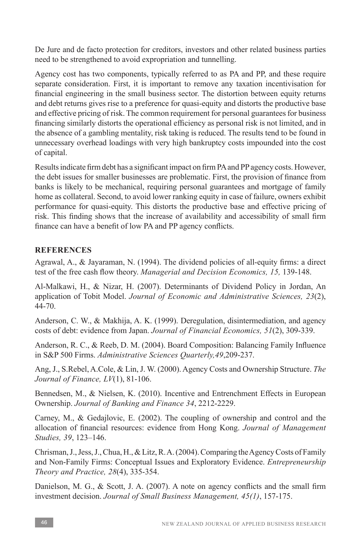De Jure and de facto protection for creditors, investors and other related business parties need to be strengthened to avoid expropriation and tunnelling.

Agency cost has two components, typically referred to as PA and PP, and these require separate consideration. First, it is important to remove any taxation incentivisation for financial engineering in the small business sector. The distortion between equity returns and debt returns gives rise to a preference for quasi-equity and distorts the productive base and effective pricing of risk. The common requirement for personal guarantees for business financing similarly distorts the operational efficiency as personal risk is not limited, and in the absence of a gambling mentality, risk taking is reduced. The results tend to be found in unnecessary overhead loadings with very high bankruptcy costs impounded into the cost of capital.

Results indicate firm debt has a significant impact on firm PA and PP agency costs. However, the debt issues for smaller businesses are problematic. First, the provision of finance from banks is likely to be mechanical, requiring personal guarantees and mortgage of family home as collateral. Second, to avoid lower ranking equity in case of failure, owners exhibit performance for quasi-equity. This distorts the productive base and effective pricing of risk. This finding shows that the increase of availability and accessibility of small firm finance can have a benefit of low PA and PP agency conflicts.

# **REFERENCES**

Agrawal, A., & Jayaraman, N. (1994). The dividend policies of all-equity firms: a direct test of the free cash flow theory. *Managerial and Decision Economics, 15,* 139-148.

Al-Malkawi, H., & Nizar, H. (2007). Determinants of Dividend Policy in Jordan, An application of Tobit Model. *Journal of Economic and Administrative Sciences, 23*(2), 44-70.

Anderson, C. W., & Makhija, A. K. (1999). Deregulation, disintermediation, and agency costs of debt: evidence from Japan. *Journal of Financial Economics, 51*(2), 309-339.

Anderson, R. C., & Reeb, D. M. (2004). Board Composition: Balancing Family Influence in S&P 500 Firms. *Administrative Sciences Quarterly,49*,209-237.

Ang, J., S.Rebel, A.Cole, & Lin, J. W. (2000). Agency Costs and Ownership Structure. *The Journal of Finance, LV*(1), 81-106.

Bennedsen, M., & Nielsen, K. (2010). Incentive and Entrenchment Effects in European Ownership. *Journal of Banking and Finance 34*, 2212-2229.

Carney, M., & Gedajlovic, E. (2002). The coupling of ownership and control and the allocation of financial resources: evidence from Hong Kong. *Journal of Management Studies, 39*, 123–146.

Chrisman, J., Jess, J., Chua, H., & Litz, R. A. (2004). Comparing the Agency Costs of Family and Non-Family Firms: Conceptual Issues and Exploratory Evidence. *Entrepreneurship Theory and Practice, 28*(4), 335-354.

Danielson, M. G., & Scott, J. A. (2007). A note on agency conflicts and the small firm investment decision. *Journal of Small Business Management, 45(1)*, 157-175.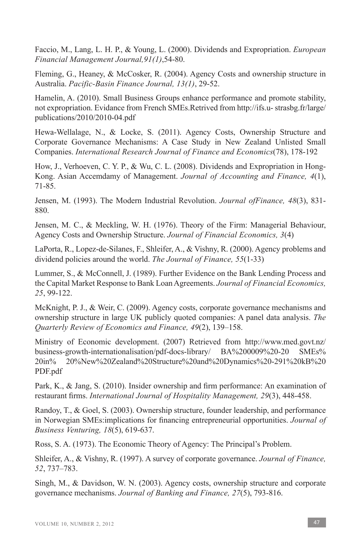Faccio, M., Lang, L. H. P., & Young, L. (2000). Dividends and Expropriation. *European Financial Management Journal,91(1)*,54-80.

Fleming, G., Heaney, & McCosker, R. (2004). Agency Costs and ownership structure in Australia. *Pacific-Basin Finance Journal, 13(1)*, 29-52.

Hamelin, A. (2010). Small Business Groups enhance performance and promote stability, not expropriation. Evidance from French SMEs.Retrived from http://ifs.u- strasbg.fr/large/ publications/2010/2010-04.pdf

Hewa-Wellalage, N., & Locke, S. (2011). Agency Costs, Ownership Structure and Corporate Governance Mechanisms: A Case Study in New Zealand Unlisted Small Companies. *International Research Journal of Finance and Economics*(78), 178-192

How, J., Verhoeven, C. Y. P., & Wu, C. L. (2008). Dividends and Expropriation in Hong-Kong. Asian Accemdamy of Management. *Journal of Accounting and Finance, 4*(1), 71-85.

Jensen, M. (1993). The Modern Industrial Revolution. *Journal ofFinance, 48*(3), 831- 880.

Jensen, M. C., & Meckling, W. H. (1976). Theory of the Firm: Managerial Behaviour, Agency Costs and Ownership Structure. *Journal of Financial Economics, 3*(4)

LaPorta, R., Lopez-de-Silanes, F., Shleifer, A., & Vishny, R. (2000). Agency problems and dividend policies around the world. *The Journal of Finance, 55*(1-33)

Lummer, S., & McConnell, J. (1989). Further Evidence on the Bank Lending Process and the Capital Market Response to Bank Loan Agreements. *Journal of Financial Economics, 25*, 99-122.

McKnight, P. J., & Weir, C. (2009). Agency costs, corporate governance mechanisms and ownership structure in large UK publicly quoted companies: A panel data analysis. *The Quarterly Review of Economics and Finance, 49*(2), 139–158.

Ministry of Economic development. (2007) Retrieved from http://www.med.govt.nz/ business-growth-internationalisation/pdf-docs-library/ BA%200009%20-20 SMEs% 20in% 20%New%20Zealand%20Structure%20and%20Dynamics%20-291%20kB%20 PDF.pdf

Park, K., & Jang, S. (2010). Insider ownership and firm performance: An examination of restaurant firms. *International Journal of Hospitality Management, 29*(3), 448-458.

Randoy, T., & Goel, S. (2003). Ownership structure, founder leadership, and performance in Norwegian SMEs:implications for financing entrepreneurial opportunities. *Journal of Business Venturing, 18*(5), 619-637.

Ross, S. A. (1973). The Economic Theory of Agency: The Principal's Problem.

Shleifer, A., & Vishny, R. (1997). A survey of corporate governance. *Journal of Finance, 52*, 737–783.

Singh, M., & Davidson, W. N. (2003). Agency costs, ownership structure and corporate governance mechanisms. *Journal of Banking and Finance, 27*(5), 793-816.